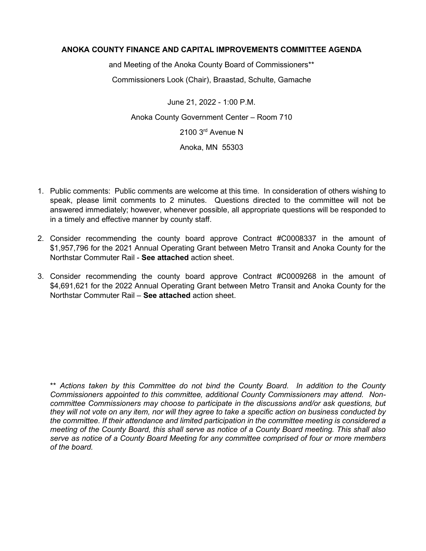## **ANOKA COUNTY FINANCE AND CAPITAL IMPROVEMENTS COMMITTEE AGENDA**

and Meeting of the Anoka County Board of Commissioners\*\*

Commissioners Look (Chair), Braastad, Schulte, Gamache

June 21, 2022 - 1:00 P.M. Anoka County Government Center – Room 710 2100 3rd Avenue N Anoka, MN 55303

- 1. Public comments: Public comments are welcome at this time. In consideration of others wishing to speak, please limit comments to 2 minutes. Questions directed to the committee will not be answered immediately; however, whenever possible, all appropriate questions will be responded to in a timely and effective manner by county staff.
- 2. Consider recommending the county board approve Contract #C0008337 in the amount of \$1,957,796 for the 2021 Annual Operating Grant between Metro Transit and Anoka County for the Northstar Commuter Rail - **See attached** action sheet.
- 3. Consider recommending the county board approve Contract #C0009268 in the amount of \$4,691,621 for the 2022 Annual Operating Grant between Metro Transit and Anoka County for the Northstar Commuter Rail – **See attached** action sheet.

\*\* *Actions taken by this Committee do not bind the County Board. In addition to the County Commissioners appointed to this committee, additional County Commissioners may attend. Noncommittee Commissioners may choose to participate in the discussions and/or ask questions, but they will not vote on any item, nor will they agree to take a specific action on business conducted by the committee. If their attendance and limited participation in the committee meeting is considered a meeting of the County Board, this shall serve as notice of a County Board meeting. This shall also serve as notice of a County Board Meeting for any committee comprised of four or more members of the board.*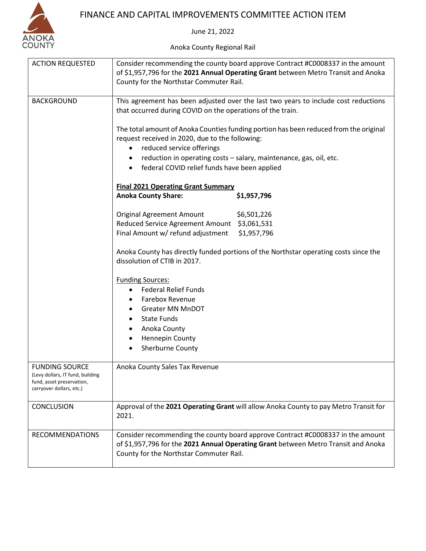

## FINANCE AND CAPITAL IMPROVEMENTS COMMITTEE ACTION ITEM

June 21, 2022

Anoka County Regional Rail

| <b>ACTION REQUESTED</b>                                                                                            | Consider recommending the county board approve Contract #C0008337 in the amount<br>of \$1,957,796 for the 2021 Annual Operating Grant between Metro Transit and Anoka<br>County for the Northstar Commuter Rail.                           |             |  |
|--------------------------------------------------------------------------------------------------------------------|--------------------------------------------------------------------------------------------------------------------------------------------------------------------------------------------------------------------------------------------|-------------|--|
| <b>BACKGROUND</b>                                                                                                  | This agreement has been adjusted over the last two years to include cost reductions<br>that occurred during COVID on the operations of the train.<br>The total amount of Anoka Counties funding portion has been reduced from the original |             |  |
|                                                                                                                    | request received in 2020, due to the following:                                                                                                                                                                                            |             |  |
|                                                                                                                    | reduced service offerings<br>reduction in operating costs - salary, maintenance, gas, oil, etc.                                                                                                                                            |             |  |
|                                                                                                                    | federal COVID relief funds have been applied                                                                                                                                                                                               |             |  |
|                                                                                                                    | <b>Final 2021 Operating Grant Summary</b>                                                                                                                                                                                                  |             |  |
|                                                                                                                    | <b>Anoka County Share:</b>                                                                                                                                                                                                                 | \$1,957,796 |  |
|                                                                                                                    | <b>Original Agreement Amount</b>                                                                                                                                                                                                           | \$6,501,226 |  |
|                                                                                                                    | Reduced Service Agreement Amount \$3,061,531                                                                                                                                                                                               |             |  |
|                                                                                                                    | Final Amount w/ refund adjustment                                                                                                                                                                                                          | \$1,957,796 |  |
|                                                                                                                    | Anoka County has directly funded portions of the Northstar operating costs since the<br>dissolution of CTIB in 2017.                                                                                                                       |             |  |
|                                                                                                                    | <b>Funding Sources:</b><br><b>Federal Relief Funds</b><br>Farebox Revenue<br><b>Greater MN MnDOT</b>                                                                                                                                       |             |  |
|                                                                                                                    |                                                                                                                                                                                                                                            |             |  |
|                                                                                                                    |                                                                                                                                                                                                                                            |             |  |
|                                                                                                                    |                                                                                                                                                                                                                                            |             |  |
|                                                                                                                    | <b>State Funds</b>                                                                                                                                                                                                                         |             |  |
|                                                                                                                    | Anoka County                                                                                                                                                                                                                               |             |  |
|                                                                                                                    | Hennepin County<br>٠                                                                                                                                                                                                                       |             |  |
|                                                                                                                    | Sherburne County                                                                                                                                                                                                                           |             |  |
| <b>FUNDING SOURCE</b><br>(Levy dollars, IT fund, building<br>fund, asset preservation,<br>carryover dollars, etc.) | Anoka County Sales Tax Revenue                                                                                                                                                                                                             |             |  |
| <b>CONCLUSION</b>                                                                                                  | Approval of the 2021 Operating Grant will allow Anoka County to pay Metro Transit for<br>2021.                                                                                                                                             |             |  |
| <b>RECOMMENDATIONS</b>                                                                                             | Consider recommending the county board approve Contract #C0008337 in the amount<br>of \$1,957,796 for the 2021 Annual Operating Grant between Metro Transit and Anoka<br>County for the Northstar Commuter Rail.                           |             |  |